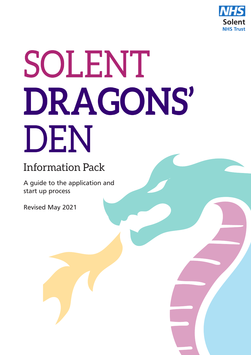

# SOLENT DRAGONS' DEN

## Information Pack

A guide to the application and start up process

Revised May 2021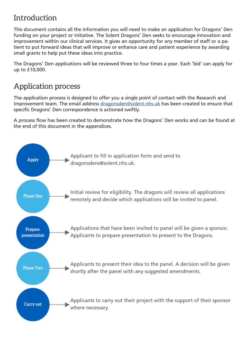## Introduction

This document contains all the information you will need to make an application for Dragons' Den funding on your project or initiative. The Solent Dragons' Den seeks to encourage innovation and improvement within our clinical services. It gives an opportunity for any member of staff or a patient to put forward ideas that will improve or enhance care and patient experience by awarding small grants to help put these ideas into practice.

The Dragons' Den applications will be reviewed three to four times a year. Each 'bid' can apply for up to £10,000.

## Application process

The application process is designed to offer you a single point of contact with the Research and Improvement team. The email address dragonsden@solent.nhs.uk has been created to ensure that specific Dragons' Den correspondence is actioned swiftly.

A process flow has been created to demonstrate how the Dragons' Den works and can be found at the end of this document in the appendices.